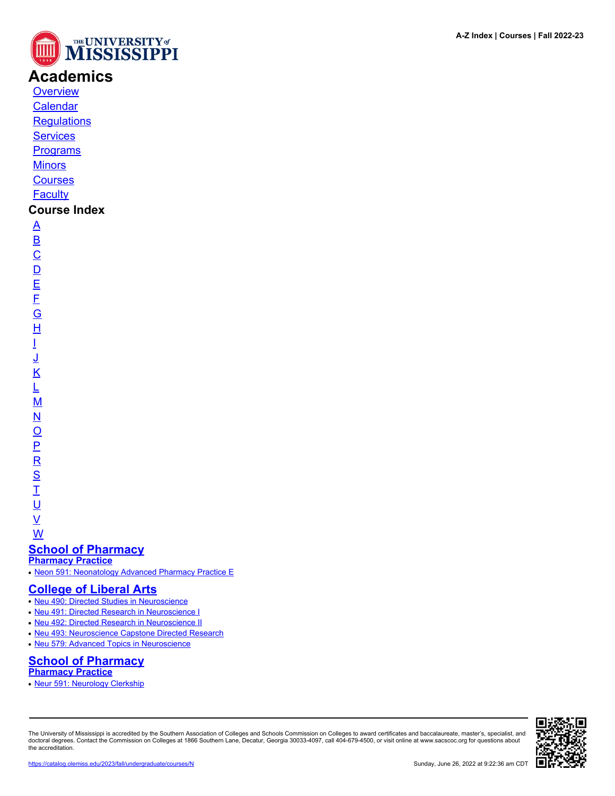

# **Academics**

**[Overview](https://catalog.olemiss.edu/academics)** [Calendar](https://catalog.olemiss.edu/academics/calendar)

**[Regulations](https://catalog.olemiss.edu/academics/regulations)** 

**[Services](https://catalog.olemiss.edu/academics/services)** 

**[Programs](https://catalog.olemiss.edu/programs)** 

**[Minors](https://catalog.olemiss.edu/minors)** 

**[Courses](https://catalog.olemiss.edu/courses)** 

**[Faculty](https://catalog.olemiss.edu/faculty)** 

## **Course Index**

[A](https://catalog.olemiss.edu/courses/A) [B](https://catalog.olemiss.edu/courses/B)  $\overline{C}$  $\overline{C}$  $\overline{C}$  $\overline{D}$  $\overline{D}$  $\overline{D}$ [E](https://catalog.olemiss.edu/courses/E) [F](https://catalog.olemiss.edu/courses/F) [G](https://catalog.olemiss.edu/courses/G) [H](https://catalog.olemiss.edu/courses/H) [I](https://catalog.olemiss.edu/courses/I) [J](https://catalog.olemiss.edu/courses/J) [K](https://catalog.olemiss.edu/courses/K) [L](https://catalog.olemiss.edu/courses/L) [M](https://catalog.olemiss.edu/courses/M) [N](https://catalog.olemiss.edu/courses/N)  $\overline{\Omega}$  $\overline{\Omega}$  $\overline{\Omega}$ [P](https://catalog.olemiss.edu/courses/P)  $\overline{\mathsf{R}}$  $\overline{\mathsf{R}}$  $\overline{\mathsf{R}}$ [S](https://catalog.olemiss.edu/courses/S)  $\overline{1}$ <u>ប</u>  $\underline{\mathsf{v}}$ 

[W](https://catalog.olemiss.edu/courses/W)

#### **[School of Pharmacy](https://catalog.olemiss.edu/pharmacy) [Pharmacy Practice](https://catalog.olemiss.edu/pharmacy/pharmacy-practice)**

• [Neon 591: Neonatology Advanced Pharmacy Practice E](https://catalog.olemiss.edu/pharmacy/pharmacy-practice/neon-591)

# **[College of Liberal Arts](https://catalog.olemiss.edu/liberal-arts)**

- [Neu 490: Directed Studies in Neuroscience](https://catalog.olemiss.edu/liberal-arts/neu-490)
- [Neu 491: Directed Research in Neuroscience I](https://catalog.olemiss.edu/liberal-arts/neu-491)
- [Neu 492: Directed Research in Neuroscience II](https://catalog.olemiss.edu/liberal-arts/neu-492)
- [Neu 493: Neuroscience Capstone Directed Research](https://catalog.olemiss.edu/liberal-arts/neu-493)
- [Neu 579: Advanced Topics in Neuroscience](https://catalog.olemiss.edu/liberal-arts/neu-579)

## **[School of Pharmacy](https://catalog.olemiss.edu/pharmacy) [Pharmacy Practice](https://catalog.olemiss.edu/pharmacy/pharmacy-practice)**

• [Neur 591: Neurology Clerkship](https://catalog.olemiss.edu/pharmacy/pharmacy-practice/neur-591)

The University of Mississippi is accredited by the Southern Association of Colleges and Schools Commission on Colleges to award certificates and baccalaureate, master's, specialist, and doctoral degrees. Contact the Commission on Colleges at 1866 Southern Lane, Decatur, Georgia 30033-4097, call 404-679-4500, or visit online at www.sacscoc.org for questions about the accreditation.

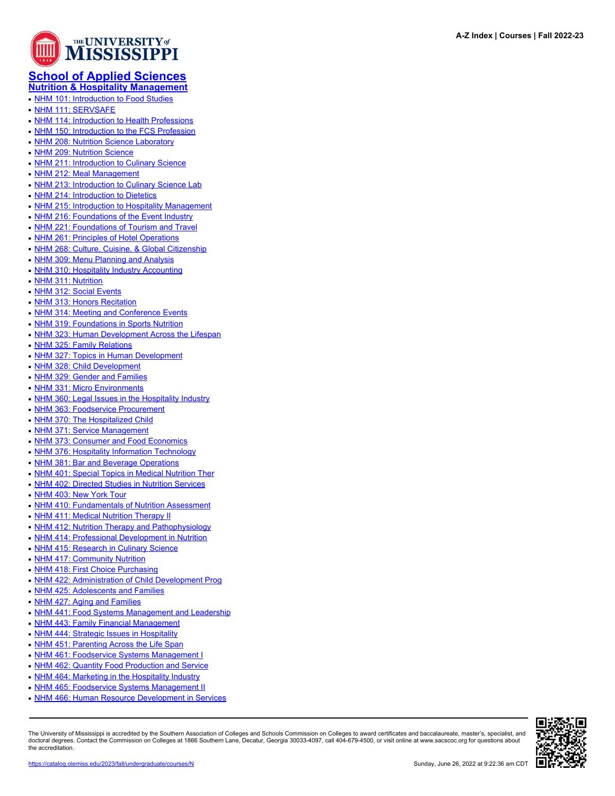

### **[School of Applied Sciences](https://catalog.olemiss.edu/applied-sciences) [Nutrition & Hospitality Management](https://catalog.olemiss.edu/applied-sciences/nutrition-hospitality-management)**

- [NHM 101: Introduction to Food Studies](https://catalog.olemiss.edu/applied-sciences/nutrition-hospitality-management/nhm-101)
- [NHM 111: SERVSAFE](https://catalog.olemiss.edu/applied-sciences/nutrition-hospitality-management/nhm-111)
- [NHM 114: Introduction to Health Professions](https://catalog.olemiss.edu/applied-sciences/nutrition-hospitality-management/nhm-114)
- [NHM 150: Introduction to the FCS Profession](https://catalog.olemiss.edu/applied-sciences/nutrition-hospitality-management/nhm-150)
- [NHM 208: Nutrition Science Laboratory](https://catalog.olemiss.edu/applied-sciences/nutrition-hospitality-management/nhm-208)
- [NHM 209: Nutrition Science](https://catalog.olemiss.edu/applied-sciences/nutrition-hospitality-management/nhm-209)
- [NHM 211: Introduction to Culinary Science](https://catalog.olemiss.edu/applied-sciences/nutrition-hospitality-management/nhm-211)
- [NHM 212: Meal Management](https://catalog.olemiss.edu/applied-sciences/nutrition-hospitality-management/nhm-212)
- [NHM 213: Introduction to Culinary Science Lab](https://catalog.olemiss.edu/applied-sciences/nutrition-hospitality-management/nhm-213)
- [NHM 214: Introduction to Dietetics](https://catalog.olemiss.edu/applied-sciences/nutrition-hospitality-management/nhm-214)
- [NHM 215: Introduction to Hospitality Management](https://catalog.olemiss.edu/applied-sciences/nutrition-hospitality-management/nhm-215)
- [NHM 216: Foundations of the Event Industry](https://catalog.olemiss.edu/applied-sciences/nutrition-hospitality-management/nhm-216)
- [NHM 221: Foundations of Tourism and Travel](https://catalog.olemiss.edu/applied-sciences/nutrition-hospitality-management/nhm-221)
- [NHM 261: Principles of Hotel Operations](https://catalog.olemiss.edu/applied-sciences/nutrition-hospitality-management/nhm-261)
- [NHM 268: Culture, Cuisine, & Global Citizenship](https://catalog.olemiss.edu/applied-sciences/nutrition-hospitality-management/nhm-268)
- [NHM 309: Menu Planning and Analysis](https://catalog.olemiss.edu/applied-sciences/nutrition-hospitality-management/nhm-309)
- [NHM 310: Hospitality Industry Accounting](https://catalog.olemiss.edu/applied-sciences/nutrition-hospitality-management/nhm-310)
- [NHM 311: Nutrition](https://catalog.olemiss.edu/applied-sciences/nutrition-hospitality-management/nhm-311)
- [NHM 312: Social Events](https://catalog.olemiss.edu/applied-sciences/nutrition-hospitality-management/nhm-312)
- [NHM 313: Honors Recitation](https://catalog.olemiss.edu/applied-sciences/nutrition-hospitality-management/nhm-313)
- [NHM 314: Meeting and Conference Events](https://catalog.olemiss.edu/applied-sciences/nutrition-hospitality-management/nhm-314)
- [NHM 319: Foundations in Sports Nutrition](https://catalog.olemiss.edu/applied-sciences/nutrition-hospitality-management/nhm-319)
- [NHM 323: Human Development Across the Lifespan](https://catalog.olemiss.edu/applied-sciences/nutrition-hospitality-management/nhm-323)
- [NHM 325: Family Relations](https://catalog.olemiss.edu/applied-sciences/nutrition-hospitality-management/nhm-325)
- [NHM 327: Topics in Human Development](https://catalog.olemiss.edu/applied-sciences/nutrition-hospitality-management/nhm-327)
- [NHM 328: Child Development](https://catalog.olemiss.edu/applied-sciences/nutrition-hospitality-management/nhm-328)
- [NHM 329: Gender and Families](https://catalog.olemiss.edu/applied-sciences/nutrition-hospitality-management/nhm-329)
- [NHM 331: Micro Environments](https://catalog.olemiss.edu/applied-sciences/nutrition-hospitality-management/nhm-331)
- [NHM 360: Legal Issues in the Hospitality Industry](https://catalog.olemiss.edu/applied-sciences/nutrition-hospitality-management/nhm-360)
- [NHM 363: Foodservice Procurement](https://catalog.olemiss.edu/applied-sciences/nutrition-hospitality-management/nhm-363)
- [NHM 370: The Hospitalized Child](https://catalog.olemiss.edu/applied-sciences/nutrition-hospitality-management/nhm-370)
- [NHM 371: Service Management](https://catalog.olemiss.edu/applied-sciences/nutrition-hospitality-management/nhm-371)
- [NHM 373: Consumer and Food Economics](https://catalog.olemiss.edu/applied-sciences/nutrition-hospitality-management/nhm-373)
- [NHM 376: Hospitality Information Technology](https://catalog.olemiss.edu/applied-sciences/nutrition-hospitality-management/nhm-376)
- [NHM 381: Bar and Beverage Operations](https://catalog.olemiss.edu/applied-sciences/nutrition-hospitality-management/nhm-381)
- 
- [NHM 401: Special Topics in Medical Nutrition Ther](https://catalog.olemiss.edu/applied-sciences/nutrition-hospitality-management/nhm-401)
- [NHM 402: Directed Studies in Nutrition Services](https://catalog.olemiss.edu/applied-sciences/nutrition-hospitality-management/nhm-402)
- [NHM 403: New York Tour](https://catalog.olemiss.edu/applied-sciences/nutrition-hospitality-management/nhm-403)
- [NHM 410: Fundamentals of Nutrition Assessment](https://catalog.olemiss.edu/applied-sciences/nutrition-hospitality-management/nhm-410)
- [NHM 411: Medical Nutrition Therapy II](https://catalog.olemiss.edu/applied-sciences/nutrition-hospitality-management/nhm-411)
- [NHM 412: Nutrition Therapy and Pathophysiology](https://catalog.olemiss.edu/applied-sciences/nutrition-hospitality-management/nhm-412)
- [NHM 414: Professional Development in Nutrition](https://catalog.olemiss.edu/applied-sciences/nutrition-hospitality-management/nhm-414)
- [NHM 415: Research in Culinary Science](https://catalog.olemiss.edu/applied-sciences/nutrition-hospitality-management/nhm-415)
- [NHM 417: Community Nutrition](https://catalog.olemiss.edu/applied-sciences/nutrition-hospitality-management/nhm-417)
- [NHM 418: First Choice Purchasing](https://catalog.olemiss.edu/applied-sciences/nutrition-hospitality-management/nhm-418)
- [NHM 422: Administration of Child Development Prog](https://catalog.olemiss.edu/applied-sciences/nutrition-hospitality-management/nhm-422)
- [NHM 425: Adolescents and Families](https://catalog.olemiss.edu/applied-sciences/nutrition-hospitality-management/nhm-425)
- [NHM 427: Aging and Families](https://catalog.olemiss.edu/applied-sciences/nutrition-hospitality-management/nhm-427)
- [NHM 441: Food Systems Management and Leadership](https://catalog.olemiss.edu/applied-sciences/nutrition-hospitality-management/nhm-441)
- [NHM 443: Family Financial Management](https://catalog.olemiss.edu/applied-sciences/nutrition-hospitality-management/nhm-443)
- [NHM 444: Strategic Issues in Hospitality](https://catalog.olemiss.edu/applied-sciences/nutrition-hospitality-management/nhm-444)
- [NHM 451: Parenting Across the Life Span](https://catalog.olemiss.edu/applied-sciences/nutrition-hospitality-management/nhm-451)
- [NHM 461: Foodservice Systems Management I](https://catalog.olemiss.edu/applied-sciences/nutrition-hospitality-management/nhm-461)
- [NHM 462: Quantity Food Production and Service](https://catalog.olemiss.edu/applied-sciences/nutrition-hospitality-management/nhm-462)
- [NHM 464: Marketing in the Hospitality Industry](https://catalog.olemiss.edu/applied-sciences/nutrition-hospitality-management/nhm-464)
- [NHM 465: Foodservice Systems Management II](https://catalog.olemiss.edu/applied-sciences/nutrition-hospitality-management/nhm-465)
- 
- [NHM 466: Human Resource Development in Services](https://catalog.olemiss.edu/applied-sciences/nutrition-hospitality-management/nhm-466)

The University of Mississippi is accredited by the Southern Association of Colleges and Schools Commission on Colleges to award certificates and baccalaureate, master's, specialist, and doctoral degrees. Contact the Commission on Colleges at 1866 Southern Lane, Decatur, Georgia 30033-4097, call 404-679-4500, or visit online at www.sacscoc.org for questions about the accreditation.

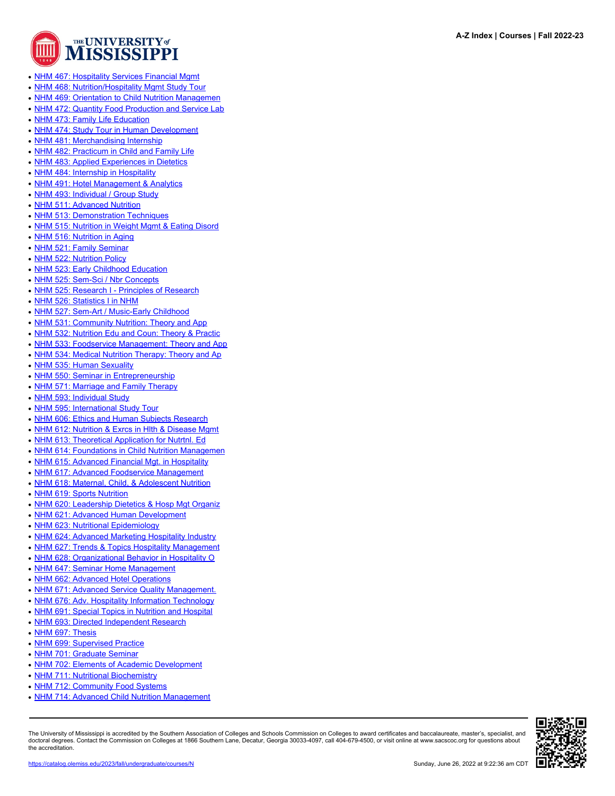

- [NHM 467: Hospitality Services Financial Mgmt](https://catalog.olemiss.edu/applied-sciences/nutrition-hospitality-management/nhm-467)
- [NHM 468: Nutrition/Hospitality Mgmt Study Tour](https://catalog.olemiss.edu/applied-sciences/nutrition-hospitality-management/nhm-468)
- [NHM 469: Orientation to Child Nutrition Managemen](https://catalog.olemiss.edu/applied-sciences/nutrition-hospitality-management/nhm-469)
- [NHM 472: Quantity Food Production and Service Lab](https://catalog.olemiss.edu/applied-sciences/nutrition-hospitality-management/nhm-472)
- [NHM 473: Family Life Education](https://catalog.olemiss.edu/applied-sciences/nutrition-hospitality-management/nhm-473)
- [NHM 474: Study Tour in Human Development](https://catalog.olemiss.edu/applied-sciences/nutrition-hospitality-management/nhm-474)
- [NHM 481: Merchandising Internship](https://catalog.olemiss.edu/applied-sciences/nutrition-hospitality-management/nhm-481)
- [NHM 482: Practicum in Child and Family Life](https://catalog.olemiss.edu/applied-sciences/nutrition-hospitality-management/nhm-482)
- [NHM 483: Applied Experiences in Dietetics](https://catalog.olemiss.edu/applied-sciences/nutrition-hospitality-management/nhm-483)
- [NHM 484: Internship in Hospitality](https://catalog.olemiss.edu/applied-sciences/nutrition-hospitality-management/nhm-484)
- [NHM 491: Hotel Management & Analytics](https://catalog.olemiss.edu/applied-sciences/nutrition-hospitality-management/nhm-491)
- [NHM 493: Individual / Group Study](https://catalog.olemiss.edu/applied-sciences/nutrition-hospitality-management/nhm-493)
- [NHM 511: Advanced Nutrition](https://catalog.olemiss.edu/applied-sciences/nutrition-hospitality-management/nhm-511)
- [NHM 513: Demonstration Techniques](https://catalog.olemiss.edu/applied-sciences/nutrition-hospitality-management/nhm-513)
- [NHM 515: Nutrition in Weight Mgmt & Eating Disord](https://catalog.olemiss.edu/applied-sciences/nutrition-hospitality-management/nhm-515)
- [NHM 516: Nutrition in Aging](https://catalog.olemiss.edu/applied-sciences/nutrition-hospitality-management/nhm-516)
- [NHM 521: Family Seminar](https://catalog.olemiss.edu/applied-sciences/nutrition-hospitality-management/nhm-521)
- [NHM 522: Nutrition Policy](https://catalog.olemiss.edu/applied-sciences/nutrition-hospitality-management/nhm-522)
- [NHM 523: Early Childhood Education](https://catalog.olemiss.edu/applied-sciences/nutrition-hospitality-management/nhm-523)
- [NHM 525: Sem-Sci / Nbr Concepts](https://catalog.olemiss.edu/applied-sciences/nutrition-hospitality-management/nhm-525)
- [NHM 525: Research I Principles of Research](https://catalog.olemiss.edu/applied-sciences/nutrition-hospitality-management/nhm-525)
- [NHM 526: Statistics I in NHM](https://catalog.olemiss.edu/applied-sciences/nutrition-hospitality-management/nhm-526)
- [NHM 527: Sem-Art / Music-Early Childhood](https://catalog.olemiss.edu/applied-sciences/nutrition-hospitality-management/nhm-527)
- [NHM 531: Community Nutrition: Theory and App](https://catalog.olemiss.edu/applied-sciences/nutrition-hospitality-management/nhm-531)
- [NHM 532: Nutrition Edu and Coun: Theory & Practic](https://catalog.olemiss.edu/applied-sciences/nutrition-hospitality-management/nhm-532)
- [NHM 533: Foodservice Management: Theory and App](https://catalog.olemiss.edu/applied-sciences/nutrition-hospitality-management/nhm-533)
- [NHM 534: Medical Nutrition Therapy: Theory and Ap](https://catalog.olemiss.edu/applied-sciences/nutrition-hospitality-management/nhm-534)
- [NHM 535: Human Sexuality](https://catalog.olemiss.edu/applied-sciences/nutrition-hospitality-management/nhm-535)
- [NHM 550: Seminar in Entrepreneurship](https://catalog.olemiss.edu/applied-sciences/nutrition-hospitality-management/nhm-550)
- [NHM 571: Marriage and Family Therapy](https://catalog.olemiss.edu/applied-sciences/nutrition-hospitality-management/nhm-571)
- [NHM 593: Individual Study](https://catalog.olemiss.edu/applied-sciences/nutrition-hospitality-management/nhm-593)
- [NHM 595: International Study Tour](https://catalog.olemiss.edu/applied-sciences/nutrition-hospitality-management/nhm-595)
- [NHM 606: Ethics and Human Subjects Research](https://catalog.olemiss.edu/applied-sciences/nutrition-hospitality-management/nhm-606)
- [NHM 612: Nutrition & Exrcs in Hlth & Disease Mgmt](https://catalog.olemiss.edu/applied-sciences/nutrition-hospitality-management/nhm-612)
- [NHM 613: Theoretical Application for Nutrtnl. Ed](https://catalog.olemiss.edu/applied-sciences/nutrition-hospitality-management/nhm-613)
- [NHM 614: Foundations in Child Nutrition Managemen](https://catalog.olemiss.edu/applied-sciences/nutrition-hospitality-management/nhm-614)
- [NHM 615: Advanced Financial Mgt. in Hospitality](https://catalog.olemiss.edu/applied-sciences/nutrition-hospitality-management/nhm-615)
- [NHM 617: Advanced Foodservice Management](https://catalog.olemiss.edu/applied-sciences/nutrition-hospitality-management/nhm-617)
- [NHM 618: Maternal, Child, & Adolescent Nutrition](https://catalog.olemiss.edu/applied-sciences/nutrition-hospitality-management/nhm-618)
- [NHM 619: Sports Nutrition](https://catalog.olemiss.edu/applied-sciences/nutrition-hospitality-management/nhm-619)
- [NHM 620: Leadership Dietetics & Hosp Mgt Organiz](https://catalog.olemiss.edu/applied-sciences/nutrition-hospitality-management/nhm-620)
- [NHM 621: Advanced Human Development](https://catalog.olemiss.edu/applied-sciences/nutrition-hospitality-management/nhm-621)
- [NHM 623: Nutritional Epidemiology](https://catalog.olemiss.edu/applied-sciences/nutrition-hospitality-management/nhm-623)
- [NHM 624: Advanced Marketing Hospitality Industry](https://catalog.olemiss.edu/applied-sciences/nutrition-hospitality-management/nhm-624)
- [NHM 627: Trends & Topics Hospitality Management](https://catalog.olemiss.edu/applied-sciences/nutrition-hospitality-management/nhm-627)
- [NHM 628: Organizational Behavior in Hospitality O](https://catalog.olemiss.edu/applied-sciences/nutrition-hospitality-management/nhm-628)
- [NHM 647: Seminar Home Management](https://catalog.olemiss.edu/applied-sciences/nutrition-hospitality-management/nhm-647)
- [NHM 662: Advanced Hotel Operations](https://catalog.olemiss.edu/applied-sciences/nutrition-hospitality-management/nhm-662)
- [NHM 671: Advanced Service Quality Management.](https://catalog.olemiss.edu/applied-sciences/nutrition-hospitality-management/nhm-671)
- [NHM 676: Adv. Hospitality Information Technology](https://catalog.olemiss.edu/applied-sciences/nutrition-hospitality-management/nhm-676)
- [NHM 691: Special Topics in Nutrition and Hospital](https://catalog.olemiss.edu/applied-sciences/nutrition-hospitality-management/nhm-691)
- 
- [NHM 693: Directed Independent Research](https://catalog.olemiss.edu/applied-sciences/nutrition-hospitality-management/nhm-693)
- [NHM 697: Thesis](https://catalog.olemiss.edu/applied-sciences/nutrition-hospitality-management/nhm-697)
- [NHM 699: Supervised Practice](https://catalog.olemiss.edu/applied-sciences/nutrition-hospitality-management/nhm-699)
- [NHM 701: Graduate Seminar](https://catalog.olemiss.edu/applied-sciences/nutrition-hospitality-management/nhm-701)
- [NHM 702: Elements of Academic Development](https://catalog.olemiss.edu/applied-sciences/nutrition-hospitality-management/nhm-702)
- [NHM 711: Nutritional Biochemistry](https://catalog.olemiss.edu/applied-sciences/nutrition-hospitality-management/nhm-711)
- [NHM 712: Community Food Systems](https://catalog.olemiss.edu/applied-sciences/nutrition-hospitality-management/nhm-712)
- [NHM 714: Advanced Child Nutrition Management](https://catalog.olemiss.edu/applied-sciences/nutrition-hospitality-management/nhm-714)

The University of Mississippi is accredited by the Southern Association of Colleges and Schools Commission on Colleges to award certificates and baccalaureate, master's, specialist, and doctoral degrees. Contact the Commission on Colleges at 1866 Southern Lane, Decatur, Georgia 30033-4097, call 404-679-4500, or visit online at www.sacscoc.org for questions about the accreditation.